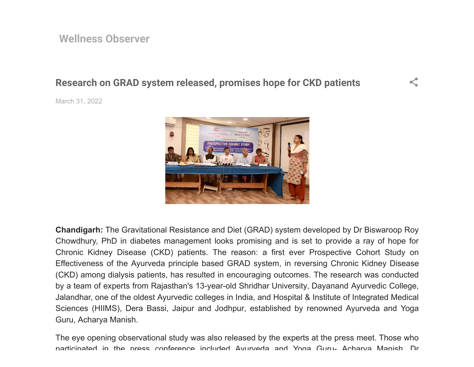# **Research on GRAD system released, promises hope for CKD patients**

[March 31, 2022](https://wellnessobserver.blogspot.com/2022/03/research-on-grad-system-released.html)



 $\leq$ 

**Chandigarh:** The Gravitational Resistance and Diet (GRAD) system developed by Dr Biswaroop Roy Chowdhury, PhD in diabetes management looks promising and is set to provide a ray of hope for Chronic Kidney Disease (CKD) patients. The reason: a first ever Prospective Cohort Study on Effectiveness of the Ayurveda principle based GRAD system, in reversing Chronic Kidney Disease (CKD) among dialysis patients, has resulted in encouraging outcomes. The research was conducted by a team of experts from Rajasthan's 13-year-old Shridhar University, Dayanand Ayurvedic College, Jalandhar, one of the oldest Ayurvedic colleges in India, and Hospital & Institute of Integrated Medical Sciences (HIIMS), Dera Bassi, Jaipur and Jodhpur, established by renowned Ayurveda and Yoga Guru, Acharya Manish.

The eye opening observational study was also released by the experts at the press meet. Those who participated in the press conference included Ayurveda and Yoga Guru- Acharya Manish Dr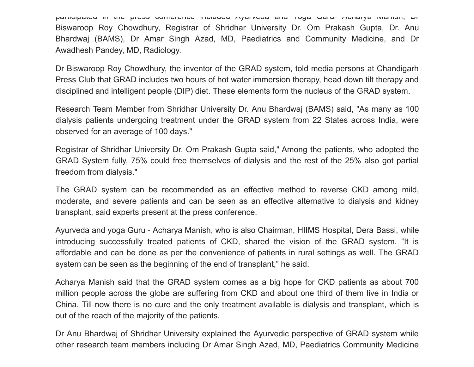participated in the press conference included Ayurveda and Yoga Guru- Acharya Manish, Dr Biswaroop Roy Chowdhury, Registrar of Shridhar University Dr. Om Prakash Gupta, Dr. Anu Bhardwaj (BAMS), Dr Amar Singh Azad, MD, Paediatrics and Community Medicine, and Dr Awadhesh Pandey, MD, Radiology.

Dr Biswaroop Roy Chowdhury, the inventor of the GRAD system, told media persons at Chandigarh Press Club that GRAD includes two hours of hot water immersion therapy, head down tilt therapy and disciplined and intelligent people (DIP) diet. These elements form the nucleus of the GRAD system.

Research Team Member from Shridhar University Dr. Anu Bhardwaj (BAMS) said, "As many as 100 dialysis patients undergoing treatment under the GRAD system from 22 States across India, were observed for an average of 100 days."

Registrar of Shridhar University Dr. Om Prakash Gupta said," Among the patients, who adopted the GRAD System fully, 75% could free themselves of dialysis and the rest of the 25% also got partial freedom from dialysis."

The GRAD system can be recommended as an effective method to reverse CKD among mild, moderate, and severe patients and can be seen as an effective alternative to dialysis and kidney transplant, said experts present at the press conference.

Ayurveda and yoga Guru - Acharya Manish, who is also Chairman, HIIMS Hospital, Dera Bassi, while introducing successfully treated patients of CKD, shared the vision of the GRAD system. "It is affordable and can be done as per the convenience of patients in rural settings as well. The GRAD system can be seen as the beginning of the end of transplant," he said.

Acharya Manish said that the GRAD system comes as a big hope for CKD patients as about 700 million people across the globe are suffering from CKD and about one third of them live in India or China. Till now there is no cure and the only treatment available is dialysis and transplant, which is out of the reach of the majority of the patients.

Dr Anu Bhardwaj of Shridhar University explained the Ayurvedic perspective of GRAD system while other research team members including Dr Amar Singh Azad, MD, Paediatrics Community Medicine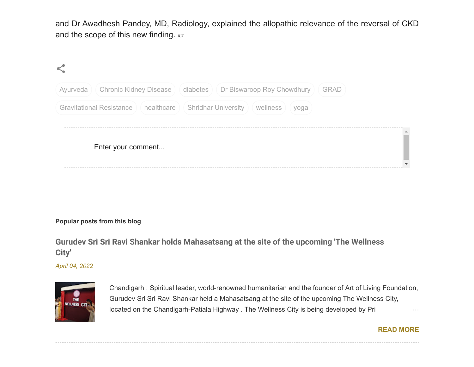and Dr Awadhesh Pandey, MD, Radiology, explained the allopathic relevance of the reversal of CKD and the scope of this new finding. **BW** 

| Ayurveda   Chronic Kidney Disease   (diabetes )   Dr Biswaroop Roy Chowdhury          | <b>GRAD</b> |
|---------------------------------------------------------------------------------------|-------------|
| Gravitational Resistance   ( healthcare ) ( Shridhar University )<br>wellness<br>yoga |             |
|                                                                                       |             |
| Enter your comment                                                                    |             |
|                                                                                       |             |

### **Popular posts from this blog**

## **[Gurudev Sri Sri Ravi Shankar holds Mahasatsang at the site of the upcoming 'The Wellness](https://wellnessobserver.blogspot.com/2022/04/gurudev-sri-sri-ravi-shankar-holds.html) City'**

*[April 04, 2022](https://wellnessobserver.blogspot.com/2022/04/gurudev-sri-sri-ravi-shankar-holds.html)*



Chandigarh : Spiritual leader, world-renowned humanitarian and the founder of Art of Living Foundation, Gurudev Sri Sri Ravi Shankar held a Mahasatsang at the site of the upcoming The Wellness City, located on the Chandigarh-Patiala Highway . The Wellness City is being developed by Prime 2016.

### **[READ MORE](https://wellnessobserver.blogspot.com/2022/04/gurudev-sri-sri-ravi-shankar-holds.html)**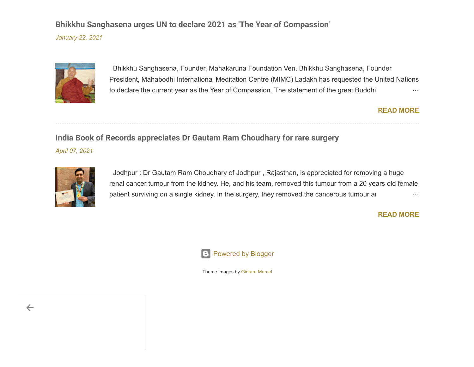### **[Bhikkhu Sanghasena urges UN to declare 2021 as 'The Year of Compassion'](https://wellnessobserver.blogspot.com/2021/01/bhikkhu-sanghasena-urges-un-to-declare.html)**

*[January 22, 2021](https://wellnessobserver.blogspot.com/2021/01/bhikkhu-sanghasena-urges-un-to-declare.html)*



 Bhikkhu Sanghasena, Founder, Mahakaruna Foundation Ven. Bhikkhu Sanghasena, Founder President, Mahabodhi International Meditation Centre (MIMC) Ladakh has requested the United Nations to declare the current year as the Year of Compassion. The statement of the great Buddhi monestation is well as

### **[READ MORE](https://wellnessobserver.blogspot.com/2021/01/bhikkhu-sanghasena-urges-un-to-declare.html)**

### **[India Book of Records appreciates Dr Gautam Ram Choudhary for rare surgery](https://wellnessobserver.blogspot.com/2021/04/india-book-of-records-appreciates-dr.html)**

*[April 07, 2021](https://wellnessobserver.blogspot.com/2021/04/india-book-of-records-appreciates-dr.html)*



 Jodhpur : Dr Gautam Ram Choudhary of Jodhpur , Rajasthan, is appreciated for removing a huge renal cancer tumour from the kidney. He, and his team, removed this tumour from a 20 years old female patient surviving on a single kidney. In the surgery, they removed the cancerous tumour and

### **[READ MORE](https://wellnessobserver.blogspot.com/2021/04/india-book-of-records-appreciates-dr.html)**



Theme images by [Gintare Marcel](http://www.offset.com/artist/Gintare+Marcel)